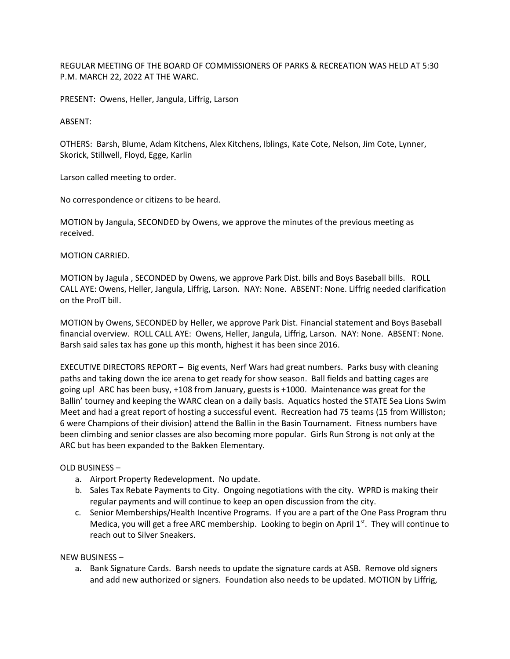REGULAR MEETING OF THE BOARD OF COMMISSIONERS OF PARKS & RECREATION WAS HELD AT 5:30 P.M. MARCH 22, 2022 AT THE WARC.

PRESENT: Owens, Heller, Jangula, Liffrig, Larson

ABSENT:

OTHERS: Barsh, Blume, Adam Kitchens, Alex Kitchens, Iblings, Kate Cote, Nelson, Jim Cote, Lynner, Skorick, Stillwell, Floyd, Egge, Karlin

Larson called meeting to order.

No correspondence or citizens to be heard.

MOTION by Jangula, SECONDED by Owens, we approve the minutes of the previous meeting as received.

MOTION CARRIED.

MOTION by Jagula , SECONDED by Owens, we approve Park Dist. bills and Boys Baseball bills. ROLL CALL AYE: Owens, Heller, Jangula, Liffrig, Larson. NAY: None. ABSENT: None. Liffrig needed clarification on the ProIT bill.

MOTION by Owens, SECONDED by Heller, we approve Park Dist. Financial statement and Boys Baseball financial overview. ROLL CALL AYE: Owens, Heller, Jangula, Liffrig, Larson. NAY: None. ABSENT: None. Barsh said sales tax has gone up this month, highest it has been since 2016.

EXECUTIVE DIRECTORS REPORT – Big events, Nerf Wars had great numbers. Parks busy with cleaning paths and taking down the ice arena to get ready for show season. Ball fields and batting cages are going up! ARC has been busy, +108 from January, guests is +1000. Maintenance was great for the Ballin' tourney and keeping the WARC clean on a daily basis. Aquatics hosted the STATE Sea Lions Swim Meet and had a great report of hosting a successful event. Recreation had 75 teams (15 from Williston; 6 were Champions of their division) attend the Ballin in the Basin Tournament. Fitness numbers have been climbing and senior classes are also becoming more popular. Girls Run Strong is not only at the ARC but has been expanded to the Bakken Elementary.

## OLD BUSINESS –

- a. Airport Property Redevelopment. No update.
- b. Sales Tax Rebate Payments to City. Ongoing negotiations with the city. WPRD is making their regular payments and will continue to keep an open discussion from the city.
- c. Senior Memberships/Health Incentive Programs. If you are a part of the One Pass Program thru Medica, you will get a free ARC membership. Looking to begin on April  $1<sup>st</sup>$ . They will continue to reach out to Silver Sneakers.

## NEW BUSINESS –

a. Bank Signature Cards. Barsh needs to update the signature cards at ASB. Remove old signers and add new authorized or signers. Foundation also needs to be updated. MOTION by Liffrig,